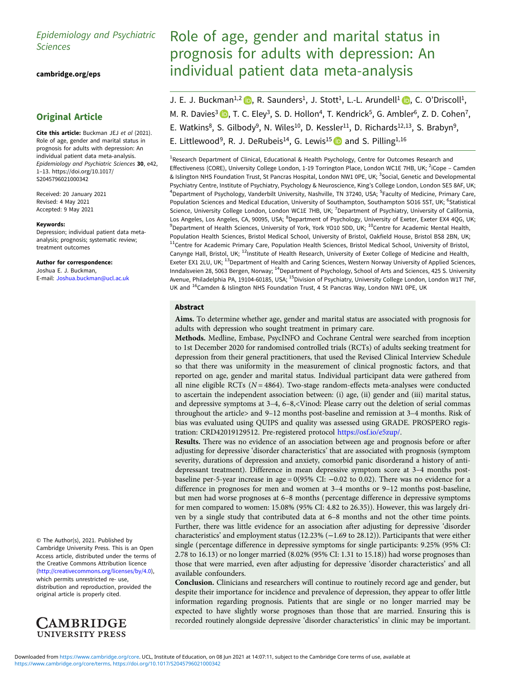# Epidemiology and Psychiatric Sciences

[cambridge.org/eps](https://www.cambridge.org/eps)

# Original Article

Cite this article: Buckman JEJ et al (2021). Role of age, gender and marital status in prognosis for adults with depression: An individual patient data meta-analysis. Epidemiology and Psychiatric Sciences 30, e42, 1–13. [https://doi.org/10.1017/](https://doi.org/10.1017/S2045796021000342) [S2045796021000342](https://doi.org/10.1017/S2045796021000342)

Received: 20 January 2021 Revised: 4 May 2021 Accepted: 9 May 2021

#### Keywords:

Depression; individual patient data metaanalysis; prognosis; systematic review; treatment outcomes

Author for correspondence: Joshua E. J. Buckman, E-mail: [Joshua.buckman@ucl.ac.uk](mailto:Joshua.buckman@ucl.ac.uk)

© The Author(s), 2021. Published by Cambridge University Press. This is an Open Access article, distributed under the terms of the Creative Commons Attribution licence (<http://creativecommons.org/licenses/by/4.0>), which permits unrestricted re- use, distribution and reproduction, provided the original article is properly cited.



# Role of age, gender and marital status in prognosis for adults with depression: An individual patient data meta-analysis

J. E. J. Buckman<sup>1,2</sup>  $\bullet$ , R. Saunders<sup>1</sup>, J. Stott<sup>1</sup>, L.-L. Arundell<sup>1</sup>  $\bullet$ , C. O'Driscoll<sup>1</sup>, M. R. Davies<sup>3</sup>  $\bullet$ [,](https://orcid.org/0000-0003-3483-9907) T. C. Eley<sup>3</sup>, S. D. Hollon<sup>4</sup>, T. Kendrick<sup>5</sup>, G. Ambler<sup>6</sup>, Z. D. Cohen<sup>7</sup>, E. Watkins<sup>8</sup>, S. Gilbody<sup>9</sup>, N. Wiles<sup>10</sup>, D. Kessler<sup>11</sup>, D. Richards<sup>12,13</sup>, S. Brabyn<sup>9</sup>, E. Littlewood<sup>9</sup>, R. J. DeRubeis<sup>14</sup>, G. Lewis<sup>15</sup> and S. Pilling<sup>1,16</sup>

<sup>1</sup>Research Department of Clinical, Educational & Health Psychology, Centre for Outcomes Research and Effectiveness (CORE), University College London, 1-19 Torrington Place, London WC1E 7HB, UK; <sup>2</sup>iCope - Camden & Islington NHS Foundation Trust, St Pancras Hospital, London NW1 0PE, UK; <sup>3</sup>Social, Genetic and Developmental Psychiatry Centre, Institute of Psychiatry, Psychology & Neuroscience, King's College London, London SE5 8AF, UK; <sup>4</sup>Department of Psychology, Vanderbilt University, Nashville, TN 37240, USA; <sup>5</sup>Faculty of Medicine, Primary Care, Population Sciences and Medical Education, University of Southampton, Southampton SO16 5ST, UK; <sup>6</sup>Statistical Science, University College London, London WC1E 7HB, UK; <sup>7</sup>Department of Psychiatry, University of California, Los Angeles, Los Angeles, CA, 90095, USA; <sup>8</sup>Department of Psychology, University of Exeter, Exeter EX4 4QG, UK;  $^9$ Department of Health Sciences, University of York, York YO10 5DD, UK;  $^{10}$ Centre for Academic Mental Health, Population Health Sciences, Bristol Medical School, University of Bristol, Oakfield House, Bristol BS8 2BN, UK; <sup>11</sup>Centre for Academic Primary Care, Population Health Sciences, Bristol Medical School, University of Bristol, Canynge Hall, Bristol, UK; <sup>12</sup>Institute of Health Research, University of Exeter College of Medicine and Health, Exeter EX1 2LU, UK; <sup>13</sup>Department of Health and Caring Sciences, Western Norway University of Applied Sciences, Inndalsveien 28, 5063 Bergen, Norway; 14Department of Psychology, School of Arts and Sciences, 425 S. University Avenue, Philadelphia PA, 19104-60185, USA; 15Division of Psychiatry, University College London, London W1T 7NF, UK and <sup>16</sup>Camden & Islington NHS Foundation Trust, 4 St Pancras Way, London NW1 0PE, UK

# Abstract

Aims. To determine whether age, gender and marital status are associated with prognosis for adults with depression who sought treatment in primary care.

Methods. Medline, Embase, PsycINFO and Cochrane Central were searched from inception to 1st December 2020 for randomised controlled trials (RCTs) of adults seeking treatment for depression from their general practitioners, that used the Revised Clinical Interview Schedule so that there was uniformity in the measurement of clinical prognostic factors, and that reported on age, gender and marital status. Individual participant data were gathered from all nine eligible RCTs ( $N = 4864$ ). Two-stage random-effects meta-analyses were conducted to ascertain the independent association between: (i) age, (ii) gender and (iii) marital status, and depressive symptoms at 3–4, 6–8,<Vinod: Please carry out the deletion of serial commas throughout the article> and 9–12 months post-baseline and remission at 3–4 months. Risk of bias was evaluated using QUIPS and quality was assessed using GRADE. PROSPERO registration: CRD42019129512. Pre-registered protocol <https://osf.io/e5zup/>.

Results. There was no evidence of an association between age and prognosis before or after adjusting for depressive 'disorder characteristics' that are associated with prognosis (symptom severity, durations of depression and anxiety, comorbid panic disorderand a history of antidepressant treatment). Difference in mean depressive symptom score at 3–4 months postbaseline per-5-year increase in age =  $0(95\% \text{ CI: } -0.02 \text{ to } 0.02)$ . There was no evidence for a difference in prognoses for men and women at 3–4 months or 9–12 months post-baseline, but men had worse prognoses at 6–8 months (percentage difference in depressive symptoms for men compared to women: 15.08% (95% CI: 4.82 to 26.35)). However, this was largely driven by a single study that contributed data at 6–8 months and not the other time points. Further, there was little evidence for an association after adjusting for depressive 'disorder characteristics' and employment status (12.23% (−1.69 to 28.12)). Participants that were either single (percentage difference in depressive symptoms for single participants: 9.25% (95% CI: 2.78 to 16.13) or no longer married (8.02% (95% CI: 1.31 to 15.18)) had worse prognoses than those that were married, even after adjusting for depressive 'disorder characteristics' and all available confounders.

Conclusion. Clinicians and researchers will continue to routinely record age and gender, but despite their importance for incidence and prevalence of depression, they appear to offer little information regarding prognosis. Patients that are single or no longer married may be expected to have slightly worse prognoses than those that are married. Ensuring this is recorded routinely alongside depressive 'disorder characteristics' in clinic may be important.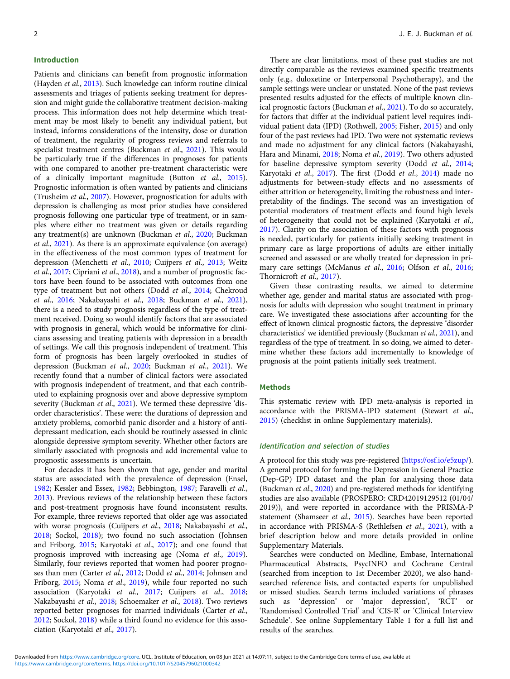#### Introduction

Patients and clinicians can benefit from prognostic information (Hayden et al., [2013\)](#page-11-0). Such knowledge can inform routine clinical assessments and triages of patients seeking treatment for depression and might guide the collaborative treatment decision-making process. This information does not help determine which treatment may be most likely to benefit any individual patient, but instead, informs considerations of the intensity, dose or duration of treatment, the regularity of progress reviews and referrals to specialist treatment centres (Buckman et al., [2021\)](#page-11-0). This would be particularly true if the differences in prognoses for patients with one compared to another pre-treatment characteristic were of a clinically important magnitude (Button et al., [2015\)](#page-11-0). Prognostic information is often wanted by patients and clinicians (Trusheim et al., [2007](#page-12-0)). However, prognostication for adults with depression is challenging as most prior studies have considered prognosis following one particular type of treatment, or in samples where either no treatment was given or details regarding any treatment(s) are unknown (Buckman et al., [2020](#page-11-0); Buckman et al., [2021](#page-11-0)). As there is an approximate equivalence (on average) in the effectiveness of the most common types of treatment for depression (Menchetti et al., [2010](#page-12-0); Cuijpers et al., [2013;](#page-11-0) Weitz et al., [2017;](#page-12-0) Cipriani et al., [2018\)](#page-11-0), and a number of prognostic factors have been found to be associated with outcomes from one type of treatment but not others (Dodd et al., [2014](#page-11-0); Chekroud et al., [2016](#page-11-0); Nakabayashi et al., [2018](#page-12-0); Buckman et al., [2021\)](#page-11-0), there is a need to study prognosis regardless of the type of treatment received. Doing so would identify factors that are associated with prognosis in general, which would be informative for clinicians assessing and treating patients with depression in a breadth of settings. We call this prognosis independent of treatment. This form of prognosis has been largely overlooked in studies of depression (Buckman et al., [2020;](#page-11-0) Buckman et al., [2021](#page-11-0)). We recently found that a number of clinical factors were associated with prognosis independent of treatment, and that each contributed to explaining prognosis over and above depressive symptom severity (Buckman et al., [2021](#page-11-0)). We termed these depressive 'disorder characteristics'. These were: the durations of depression and anxiety problems, comorbid panic disorder and a history of antidepressant medication, each should be routinely assessed in clinic alongside depressive symptom severity. Whether other factors are similarly associated with prognosis and add incremental value to prognostic assessments is uncertain.

For decades it has been shown that age, gender and marital status are associated with the prevalence of depression (Ensel, [1982;](#page-11-0) Kessler and Essex, [1982](#page-11-0); Bebbington, [1987;](#page-11-0) Faravelli et al., [2013\)](#page-11-0). Previous reviews of the relationship between these factors and post-treatment prognosis have found inconsistent results. For example, three reviews reported that older age was associated with worse prognosis (Cuijpers et al., [2018;](#page-11-0) Nakabayashi et al., [2018;](#page-12-0) Sockol, [2018\)](#page-12-0); two found no such association (Johnsen and Friborg, [2015;](#page-11-0) Karyotaki et al., [2017\)](#page-11-0); and one found that prognosis improved with increasing age (Noma et al., [2019\)](#page-12-0). Similarly, four reviews reported that women had poorer prognoses than men (Carter et al., [2012](#page-11-0); Dodd et al., [2014](#page-11-0); Johnsen and Friborg, [2015](#page-11-0); Noma et al., [2019\)](#page-12-0), while four reported no such association (Karyotaki et al., [2017](#page-11-0); Cuijpers et al., [2018](#page-11-0); Nakabayashi et al., [2018](#page-12-0); Schoemaker et al., [2018](#page-12-0)). Two reviews reported better prognoses for married individuals (Carter et al., [2012;](#page-11-0) Sockol, [2018](#page-12-0)) while a third found no evidence for this association (Karyotaki et al., [2017](#page-11-0)).

There are clear limitations, most of these past studies are not directly comparable as the reviews examined specific treatments only (e.g., duloxetine or Interpersonal Psychotherapy), and the sample settings were unclear or unstated. None of the past reviews presented results adjusted for the effects of multiple known clinical prognostic factors (Buckman et al., [2021](#page-11-0)). To do so accurately, for factors that differ at the individual patient level requires individual patient data (IPD) (Rothwell, [2005;](#page-12-0) Fisher, [2015](#page-11-0)) and only four of the past reviews had IPD. Two were not systematic reviews and made no adjustment for any clinical factors (Nakabayashi, Hara and Minami, [2018](#page-12-0); Noma et al., [2019](#page-12-0)). Two others adjusted for baseline depressive symptom severity (Dodd et al., [2014;](#page-11-0) Karyotaki et al., [2017\)](#page-11-0). The first (Dodd et al., [2014](#page-11-0)) made no adjustments for between-study effects and no assessments of either attrition or heterogeneity, limiting the robustness and interpretability of the findings. The second was an investigation of potential moderators of treatment effects and found high levels of heterogeneity that could not be explained (Karyotaki et al., [2017\)](#page-11-0). Clarity on the association of these factors with prognosis is needed, particularly for patients initially seeking treatment in primary care as large proportions of adults are either initially screened and assessed or are wholly treated for depression in pri-mary care settings (McManus et al., [2016](#page-12-0); Olfson et al., [2016;](#page-12-0) Thornicroft et al., [2017](#page-12-0)).

Given these contrasting results, we aimed to determine whether age, gender and marital status are associated with prognosis for adults with depression who sought treatment in primary care. We investigated these associations after accounting for the effect of known clinical prognostic factors, the depressive 'disorder characteristics' we identified previously (Buckman et al., [2021](#page-11-0)), and regardless of the type of treatment. In so doing, we aimed to determine whether these factors add incrementally to knowledge of prognosis at the point patients initially seek treatment.

### Methods

This systematic review with IPD meta-analysis is reported in accordance with the PRISMA-IPD statement (Stewart et al., [2015\)](#page-12-0) (checklist in online Supplementary materials).

### Identification and selection of studies

A protocol for this study was pre-registered [\(https://osf.io/e5zup/](https://osf.io/e5zup/)). A general protocol for forming the Depression in General Practice (Dep-GP) IPD dataset and the plan for analysing those data (Buckman et al., [2020](#page-11-0)) and pre-registered methods for identifying studies are also available (PROSPERO: CRD42019129512 (01/04/ 2019)), and were reported in accordance with the PRISMA-P statement (Shamseer et al., [2015\)](#page-12-0). Searches have been reported in accordance with PRISMA-S (Rethlefsen et al., [2021](#page-12-0)), with a brief description below and more details provided in online Supplementary Materials.

Searches were conducted on Medline, Embase, International Pharmaceutical Abstracts, PsycINFO and Cochrane Central (searched from inception to 1st December 2020), we also handsearched reference lists, and contacted experts for unpublished or missed studies. Search terms included variations of phrases such as 'depression' or 'major depression', 'RCT' or 'Randomised Controlled Trial' and 'CIS-R' or 'Clinical Interview Schedule'. See online Supplementary Table 1 for a full list and results of the searches.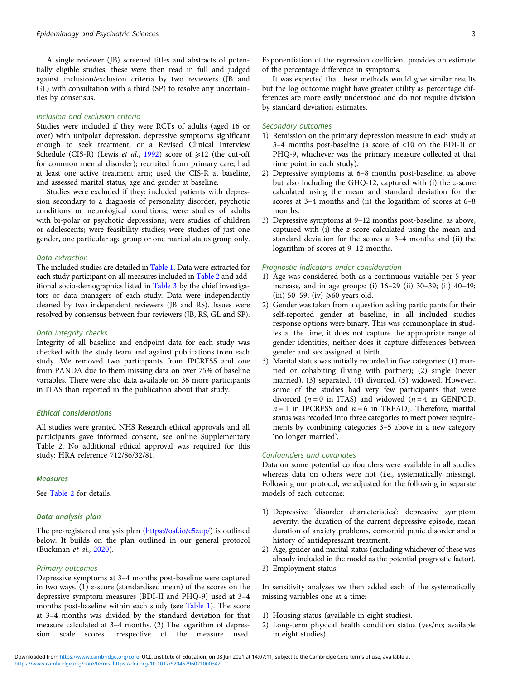A single reviewer (JB) screened titles and abstracts of potentially eligible studies, these were then read in full and judged against inclusion/exclusion criteria by two reviewers (JB and GL) with consultation with a third (SP) to resolve any uncertainties by consensus.

# Inclusion and exclusion criteria

Studies were included if they were RCTs of adults (aged 16 or over) with unipolar depression, depressive symptoms significant enough to seek treatment, or a Revised Clinical Interview Schedule (CIS-R) (Lewis et al., [1992\)](#page-12-0) score of  $\geq 12$  (the cut-off for common mental disorder); recruited from primary care; had at least one active treatment arm; used the CIS-R at baseline, and assessed marital status, age and gender at baseline.

Studies were excluded if they: included patients with depression secondary to a diagnosis of personality disorder, psychotic conditions or neurological conditions; were studies of adults with bi-polar or psychotic depressions; were studies of children or adolescents; were feasibility studies; were studies of just one gender, one particular age group or one marital status group only.

#### Data extraction

The included studies are detailed in [Table 1.](#page-3-0) Data were extracted for each study participant on all measures included in [Table 2](#page-4-0) and additional socio-demographics listed in [Table 3](#page-5-0) by the chief investigators or data managers of each study. Data were independently cleaned by two independent reviewers (JB and RS). Issues were resolved by consensus between four reviewers (JB, RS, GL and SP).

#### Data integrity checks

Integrity of all baseline and endpoint data for each study was checked with the study team and against publications from each study. We removed two participants from IPCRESS and one from PANDA due to them missing data on over 75% of baseline variables. There were also data available on 36 more participants in ITAS than reported in the publication about that study.

# Ethical considerations

All studies were granted NHS Research ethical approvals and all participants gave informed consent, see online Supplementary Table 2. No additional ethical approval was required for this study: HRA reference 712/86/32/81.

#### **Measures**

See [Table 2](#page-4-0) for details.

# Data analysis plan

The pre-registered analysis plan [\(https://osf.io/e5zup/](https://osf.io/e5zup/)) is outlined below. It builds on the plan outlined in our general protocol (Buckman et al., [2020](#page-11-0)).

#### Primary outcomes

Depressive symptoms at 3–4 months post-baseline were captured in two ways. (1) z-score (standardised mean) of the scores on the depressive symptom measures (BDI-II and PHQ-9) used at 3–4 months post-baseline within each study (see [Table 1\)](#page-3-0). The score at 3–4 months was divided by the standard deviation for that measure calculated at 3–4 months. (2) The logarithm of depression scale scores irrespective of the measure used.

It was expected that these methods would give similar results but the log outcome might have greater utility as percentage differences are more easily understood and do not require division by standard deviation estimates.

#### Secondary outcomes

- 1) Remission on the primary depression measure in each study at 3–4 months post-baseline (a score of <10 on the BDI-II or PHQ-9, whichever was the primary measure collected at that time point in each study).
- 2) Depressive symptoms at 6–8 months post-baseline, as above but also including the GHQ-12, captured with (i) the z-score calculated using the mean and standard deviation for the scores at 3–4 months and (ii) the logarithm of scores at 6–8 months.
- 3) Depressive symptoms at 9–12 months post-baseline, as above, captured with (i) the z-score calculated using the mean and standard deviation for the scores at 3–4 months and (ii) the logarithm of scores at 9–12 months.

#### Prognostic indicators under consideration

- 1) Age was considered both as a continuous variable per 5-year increase, and in age groups: (i) 16–29 (ii) 30–39; (ii) 40–49; (iii) 50–59; (iv)  $\geq 60$  years old.
- 2) Gender was taken from a question asking participants for their self-reported gender at baseline, in all included studies response options were binary. This was commonplace in studies at the time, it does not capture the appropriate range of gender identities, neither does it capture differences between gender and sex assigned at birth.
- 3) Marital status was initially recorded in five categories: (1) married or cohabiting (living with partner); (2) single (never married), (3) separated, (4) divorced, (5) widowed. However, some of the studies had very few participants that were divorced  $(n = 0$  in ITAS) and widowed  $(n = 4$  in GENPOD,  $n = 1$  in IPCRESS and  $n = 6$  in TREAD). Therefore, marital status was recoded into three categories to meet power requirements by combining categories 3–5 above in a new category 'no longer married'.

#### Confounders and covariates

Data on some potential confounders were available in all studies whereas data on others were not (i.e., systematically missing). Following our protocol, we adjusted for the following in separate models of each outcome:

- 1) Depressive 'disorder characteristics': depressive symptom severity, the duration of the current depressive episode, mean duration of anxiety problems, comorbid panic disorder and a history of antidepressant treatment.
- 2) Age, gender and marital status (excluding whichever of these was already included in the model as the potential prognostic factor).
- 3) Employment status.

In sensitivity analyses we then added each of the systematically missing variables one at a time:

- 1) Housing status (available in eight studies).
- 2) Long-term physical health condition status (yes/no; available in eight studies).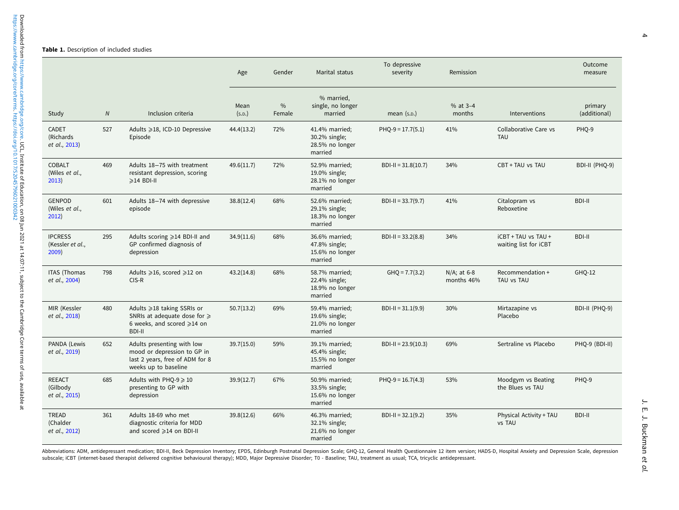#### <span id="page-3-0"></span>Table 1. Description of included studies

|                                             |            |                                                                                                                      | Age            | Gender         | Marital status                                                | To depressive<br>severity | Remission                    |                                              | Outcome<br>measure      |
|---------------------------------------------|------------|----------------------------------------------------------------------------------------------------------------------|----------------|----------------|---------------------------------------------------------------|---------------------------|------------------------------|----------------------------------------------|-------------------------|
| Study                                       | ${\cal N}$ | Inclusion criteria                                                                                                   | Mean<br>(s.D.) | $\%$<br>Female | % married,<br>single, no longer<br>married                    | mean $(s.p.)$             | $% at 3-4$<br>months         | Interventions                                | primary<br>(additional) |
| <b>CADET</b><br>(Richards)<br>et al., 2013) | 527        | Adults ≥18, ICD-10 Depressive<br>Episode                                                                             | 44.4(13.2)     | 72%            | 41.4% married;<br>30.2% single;<br>28.5% no longer<br>married | $PHO-9 = 17.7(5.1)$       | 41%                          | Collaborative Care vs<br><b>TAU</b>          | PHQ-9                   |
| <b>COBALT</b><br>(Wiles et al.,<br>2013)    | 469        | Adults 18-75 with treatment<br>resistant depression, scoring<br>≽14 BDI-II                                           | 49.6(11.7)     | 72%            | 52.9% married;<br>19.0% single;<br>28.1% no longer<br>married | $BDI-II = 31.8(10.7)$     | 34%                          | CBT + TAU vs TAU                             | BDI-II (PHQ-9)          |
| <b>GENPOD</b><br>(Wiles et al.,<br>2012)    | 601        | Adults 18-74 with depressive<br>episode                                                                              | 38.8(12.4)     | 68%            | 52.6% married;<br>29.1% single;<br>18.3% no longer<br>married | $BDI-II = 33.7(9.7)$      | 41%                          | Citalopram vs<br>Reboxetine                  | <b>BDI-II</b>           |
| <b>IPCRESS</b><br>(Kessler et al.,<br>2009) | 295        | Adults scoring $\geq 14$ BDI-II and<br>GP confirmed diagnosis of<br>depression                                       | 34.9(11.6)     | 68%            | 36.6% married;<br>47.8% single;<br>15.6% no longer<br>married | $BDI-II = 33.2(8.8)$      | 34%                          | iCBT + TAU vs TAU +<br>waiting list for iCBT | <b>BDI-II</b>           |
| <b>ITAS (Thomas</b><br>et al., 2004)        | 798        | Adults ≥16, scored ≥12 on<br>$CIS-R$                                                                                 | 43.2(14.8)     | 68%            | 58.7% married;<br>22.4% single;<br>18.9% no longer<br>married | $GHQ = 7.7(3.2)$          | $N/A$ ; at 6-8<br>months 46% | Recommendation +<br>TAU vs TAU               | GHQ-12                  |
| MIR (Kessler<br>et al., 2018)               | 480        | Adults ≥18 taking SSRIs or<br>SNRIs at adequate dose for $\geq$<br>6 weeks, and scored $\geq 14$ on<br><b>BDI-II</b> | 50.7(13.2)     | 69%            | 59.4% married;<br>19.6% single;<br>21.0% no longer<br>married | $BDI-II = 31.1(9.9)$      | 30%                          | Mirtazapine vs<br>Placebo                    | BDI-II (PHQ-9)          |
| PANDA (Lewis<br>et al., 2019)               | 652        | Adults presenting with low<br>mood or depression to GP in<br>last 2 years, free of ADM for 8<br>weeks up to baseline | 39.7(15.0)     | 59%            | 39.1% married;<br>45.4% single;<br>15.5% no longer<br>married | $BDI-II = 23.9(10.3)$     | 69%                          | Sertraline vs Placebo                        | PHQ-9 (BDI-II)          |
| <b>REEACT</b><br>(Gilbody<br>et al., 2015)  | 685        | Adults with PHQ-9 $\geqslant$ 10<br>presenting to GP with<br>depression                                              | 39.9(12.7)     | 67%            | 50.9% married;<br>33.5% single;<br>15.6% no longer<br>married | $PHQ-9 = 16.7(4.3)$       | 53%                          | Moodgym vs Beating<br>the Blues vs TAU       | PHQ-9                   |
| <b>TREAD</b><br>(Chalder<br>et al., 2012)   | 361        | Adults 18-69 who met<br>diagnostic criteria for MDD<br>and scored ≥14 on BDI-II                                      | 39.8(12.6)     | 66%            | 46.3% married;<br>32.1% single;<br>21.6% no longer<br>married | $BDI-II = 32.1(9.2)$      | 35%                          | Physical Activity + TAU<br>vs TAU            | <b>BDI-II</b>           |

Abbreviations: ADM, antidepressant medication; BDI-II, Beck Depression Inventory; EPDS, Edinburgh Postnatal Depression Scale; GHQ-12, General Health Questionnaire 12 item version; HADS-D, Hospital Anxiety and Depression Sc subscale; iCBT (internet-based therapist delivered cognitive behavioural therapy); MDD, Major Depressive Disorder; T0 - Baseline; TAU, treatment as usual; TCA, tricyclic antidepressant.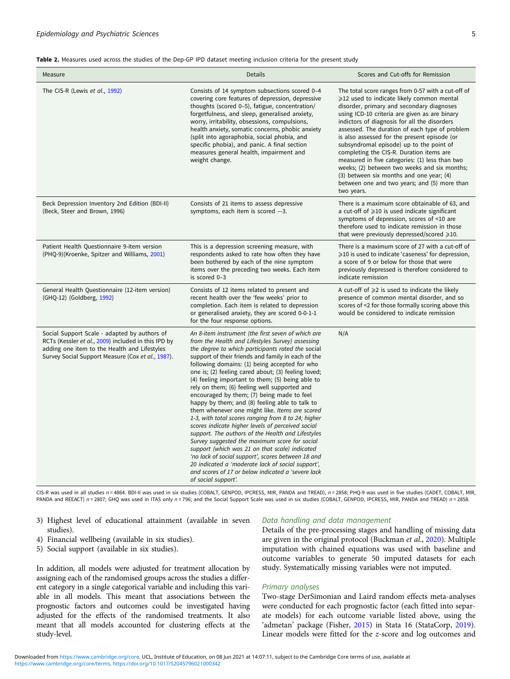<span id="page-4-0"></span>

| Table 2. Measures used across the studies of the Dep-GP IPD dataset meeting inclusion criteria for the present study |  |  |  |
|----------------------------------------------------------------------------------------------------------------------|--|--|--|
|----------------------------------------------------------------------------------------------------------------------|--|--|--|

| Measure                                                                                                                                                                                                  | Details                                                                                                                                                                                                                                                                                                                                                                                                                                                                                                                                                                                                                                                                                                                                                                                                                                                                                                                                                                                                                                     | Scores and Cut-offs for Remission                                                                                                                                                                                                                                                                                                                                                                                                                                                                                                                                                                                                                              |
|----------------------------------------------------------------------------------------------------------------------------------------------------------------------------------------------------------|---------------------------------------------------------------------------------------------------------------------------------------------------------------------------------------------------------------------------------------------------------------------------------------------------------------------------------------------------------------------------------------------------------------------------------------------------------------------------------------------------------------------------------------------------------------------------------------------------------------------------------------------------------------------------------------------------------------------------------------------------------------------------------------------------------------------------------------------------------------------------------------------------------------------------------------------------------------------------------------------------------------------------------------------|----------------------------------------------------------------------------------------------------------------------------------------------------------------------------------------------------------------------------------------------------------------------------------------------------------------------------------------------------------------------------------------------------------------------------------------------------------------------------------------------------------------------------------------------------------------------------------------------------------------------------------------------------------------|
| The CIS-R (Lewis et al., 1992)                                                                                                                                                                           | Consists of 14 symptom subsections scored 0-4<br>covering core features of depression, depressive<br>thoughts (scored 0-5), fatigue, concentration/<br>forgetfulness, and sleep, generalised anxiety,<br>worry, irritability, obsessions, compulsions,<br>health anxiety, somatic concerns, phobic anxiety<br>(split into agoraphobia, social phobia, and<br>specific phobia), and panic. A final section<br>measures general health, impairment and<br>weight change.                                                                                                                                                                                                                                                                                                                                                                                                                                                                                                                                                                      | The total score ranges from 0-57 with a cut-off of<br>$\geqslant$ 12 used to indicate likely common mental<br>disorder, primary and secondary diagnoses<br>using ICD-10 criteria are given as are binary<br>indictors of diagnosis for all the disorders<br>assessed. The duration of each type of problem<br>is also assessed for the present episode (or<br>subsyndromal episode) up to the point of<br>completing the CIS-R. Duration items are<br>measured in five categories: (1) less than two<br>weeks; (2) between two weeks and six months;<br>(3) between six months and one year; (4)<br>between one and two years; and (5) more than<br>two years. |
| Beck Depression Inventory 2nd Edition (BDI-II)<br>(Beck, Steer and Brown, 1996)                                                                                                                          | Consists of 21 items to assess depressive<br>symptoms, each item is scored --3.                                                                                                                                                                                                                                                                                                                                                                                                                                                                                                                                                                                                                                                                                                                                                                                                                                                                                                                                                             | There is a maximum score obtainable of 63, and<br>a cut-off of $\geqslant$ 10 is used indicate significant<br>symptoms of depression, scores of <10 are<br>therefore used to indicate remission in those<br>that were previously depressed/scored ≥10.                                                                                                                                                                                                                                                                                                                                                                                                         |
| Patient Health Questionnaire 9-item version<br>(PHQ-9)(Kroenke, Spitzer and Williams, 2001)                                                                                                              | This is a depression screening measure, with<br>respondents asked to rate how often they have<br>been bothered by each of the nine symptom<br>items over the preceding two weeks. Each item<br>is scored 0-3                                                                                                                                                                                                                                                                                                                                                                                                                                                                                                                                                                                                                                                                                                                                                                                                                                | There is a maximum score of 27 with a cut-off of<br>$\geqslant$ 10 is used to indicate 'caseness' for depression,<br>a score of 9 or below for those that were<br>previously depressed is therefore considered to<br>indicate remission                                                                                                                                                                                                                                                                                                                                                                                                                        |
| General Health Questionnaire (12-item version)<br>(GHQ-12) (Goldberg, 1992)                                                                                                                              | Consists of 12 items related to present and<br>recent health over the 'few weeks' prior to<br>completion. Each item is related to depression<br>or generalised anxiety, they are scored 0-0-1-1<br>for the four response options.                                                                                                                                                                                                                                                                                                                                                                                                                                                                                                                                                                                                                                                                                                                                                                                                           | A cut-off of $\geqslant$ 2 is used to indicate the likely<br>presence of common mental disorder, and so<br>scores of <2 for those formally scoring above this<br>would be considered to indicate remission                                                                                                                                                                                                                                                                                                                                                                                                                                                     |
| Social Support Scale - adapted by authors of<br>RCTs (Kessler et al., 2009) included in this IPD by<br>adding one item to the Health and Lifestyles<br>Survey Social Support Measure (Cox et al., 1987). | An 8-item instrument (the first seven of which are<br>from the Health and Lifestyles Survey) assessing<br>the degree to which participants rated the social<br>support of their friends and family in each of the<br>following domains: (1) being accepted for who<br>one is; (2) feeling cared about; (3) feeling loved;<br>(4) feeling important to them; (5) being able to<br>rely on them; (6) feeling well supported and<br>encouraged by them; (7) being made to feel<br>happy by them; and (8) feeling able to talk to<br>them whenever one might like. Items are scored<br>1-3, with total scores ranging from 8 to 24; higher<br>scores indicate higher levels of perceived social<br>support. The authors of the Health and Lifestyles<br>Survey suggested the maximum score for social<br>support (which was 21 on that scale) indicated<br>'no lack of social support', scores between 18 and<br>20 indicated a 'moderate lack of social support',<br>and scores of 17 or below indicated a 'severe lack<br>of social support'. | N/A                                                                                                                                                                                                                                                                                                                                                                                                                                                                                                                                                                                                                                                            |

CIS-R was used in all studies n = 4864. BDI-II was used in six studies (COBALT, GENPOD, IPCRESS, MIR, PANDA and TREAD), n = 2858; PHQ-9 was used in five studies (CADET, COBALT, MIR, PANDA and REEACT) n = 2807; GHQ was used in ITAS only n = 796; and the Social Support Scale was used in six studies (COBALT, GENPOD, IPCRESS, MIR, PANDA and TREAD) n = 2858.

- 3) Highest level of educational attainment (available in seven studies).
- 4) Financial wellbeing (available in six studies).
- 5) Social support (available in six studies).

In addition, all models were adjusted for treatment allocation by assigning each of the randomised groups across the studies a different category in a single categorical variable and including this variable in all models. This meant that associations between the prognostic factors and outcomes could be investigated having adjusted for the effects of the randomised treatments. It also meant that all models accounted for clustering effects at the study-level.

# Data handling and data management

Details of the pre-processing stages and handling of missing data are given in the original protocol (Buckman et al., [2020](#page-11-0)). Multiple imputation with chained equations was used with baseline and outcome variables to generate 50 imputed datasets for each study. Systematically missing variables were not imputed.

#### Primary analyses

Two-stage DerSimonian and Laird random effects meta-analyses were conducted for each prognostic factor (each fitted into separate models) for each outcome variable listed above, using the 'admetan' package (Fisher, [2015\)](#page-11-0) in Stata 16 (StataCorp, [2019](#page-12-0)). Linear models were fitted for the z-score and log outcomes and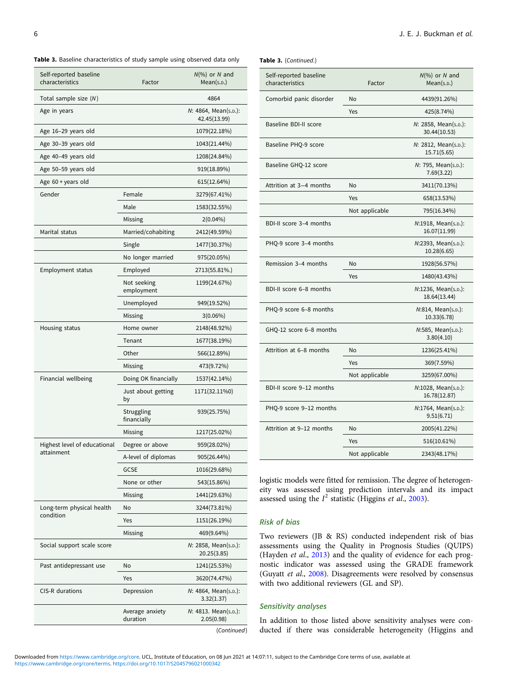<span id="page-5-0"></span>Table 3. Baseline characteristics of study sample using observed data only

| Self-reported baseline<br>characteristics | Factor                                                                                                                                                                                                                                                                                                                                                                                                                                                   | $N(\%)$ or N and<br>Mean(s.p.)       |  |  |  |
|-------------------------------------------|----------------------------------------------------------------------------------------------------------------------------------------------------------------------------------------------------------------------------------------------------------------------------------------------------------------------------------------------------------------------------------------------------------------------------------------------------------|--------------------------------------|--|--|--|
| Total sample size (N)                     |                                                                                                                                                                                                                                                                                                                                                                                                                                                          | 4864                                 |  |  |  |
| Age in years                              |                                                                                                                                                                                                                                                                                                                                                                                                                                                          | N: 4864, Mean(s.p.):<br>42.45(13.99) |  |  |  |
| Age 16-29 years old                       |                                                                                                                                                                                                                                                                                                                                                                                                                                                          | 1079(22.18%)                         |  |  |  |
| Age 30-39 years old                       |                                                                                                                                                                                                                                                                                                                                                                                                                                                          | 1043(21.44%)                         |  |  |  |
| Age 40-49 years old                       |                                                                                                                                                                                                                                                                                                                                                                                                                                                          | 1208(24.84%)                         |  |  |  |
| Age 50-59 years old                       |                                                                                                                                                                                                                                                                                                                                                                                                                                                          | 919(18.89%)                          |  |  |  |
| Age 60 + years old                        |                                                                                                                                                                                                                                                                                                                                                                                                                                                          | 615(12.64%)                          |  |  |  |
| Gender                                    | Female                                                                                                                                                                                                                                                                                                                                                                                                                                                   | 3279(67.41%)                         |  |  |  |
|                                           | Male                                                                                                                                                                                                                                                                                                                                                                                                                                                     | 1583(32.55%)                         |  |  |  |
|                                           | Missing                                                                                                                                                                                                                                                                                                                                                                                                                                                  | $2(0.04\%)$                          |  |  |  |
| Marital status                            | Married/cohabiting                                                                                                                                                                                                                                                                                                                                                                                                                                       | 2412(49.59%)                         |  |  |  |
|                                           | Single                                                                                                                                                                                                                                                                                                                                                                                                                                                   | 1477(30.37%)                         |  |  |  |
|                                           | No longer married                                                                                                                                                                                                                                                                                                                                                                                                                                        | 975(20.05%)                          |  |  |  |
| Employment status                         | Employed                                                                                                                                                                                                                                                                                                                                                                                                                                                 | 2713(55.81%.)                        |  |  |  |
|                                           | Not seeking<br>employment                                                                                                                                                                                                                                                                                                                                                                                                                                | 1199(24.67%)                         |  |  |  |
|                                           | Unemployed                                                                                                                                                                                                                                                                                                                                                                                                                                               | 949(19.52%)                          |  |  |  |
|                                           | Missing                                                                                                                                                                                                                                                                                                                                                                                                                                                  |                                      |  |  |  |
| Housing status                            | Home owner                                                                                                                                                                                                                                                                                                                                                                                                                                               | 2148(48.92%)                         |  |  |  |
|                                           | Tenant                                                                                                                                                                                                                                                                                                                                                                                                                                                   | 1677(38.19%)                         |  |  |  |
|                                           | Other                                                                                                                                                                                                                                                                                                                                                                                                                                                    | 566(12.89%)                          |  |  |  |
|                                           | $3(0.06\%)$<br>Missing<br>473(9.72%)<br>Doing OK financially<br>1537(42.14%)<br>Just about getting<br>1171(32.11%0)<br>by<br>Struggling<br>939(25.75%)<br>financially<br>1217(25.02%)<br>Missing                                                                                                                                                                                                                                                         |                                      |  |  |  |
| Financial wellbeing                       | Degree or above<br>959(28.02%)<br>A-level of diplomas<br>905(26.44%)<br><b>GCSE</b><br>1016(29.68%)<br>None or other<br>543(15.86%)<br>Missing<br>1441(29.63%)<br>No<br>3244(73.81%)<br>1151(26.19%)<br>Yes<br>Missing<br>469(9.64%)<br>N: 2858, Mean(s.p.):<br>20.25(3.85)<br>1241(25.53%)<br><b>No</b><br>Yes<br>3620(74.47%)<br>Depression<br>N: 4864, Mean(s.p.):<br>3.32(1.37)<br>Average anxiety<br>N: 4813. Mean(s.p.):<br>duration<br>2.05(0.98) |                                      |  |  |  |
|                                           |                                                                                                                                                                                                                                                                                                                                                                                                                                                          |                                      |  |  |  |
|                                           |                                                                                                                                                                                                                                                                                                                                                                                                                                                          |                                      |  |  |  |
|                                           |                                                                                                                                                                                                                                                                                                                                                                                                                                                          |                                      |  |  |  |
| Highest level of educational              |                                                                                                                                                                                                                                                                                                                                                                                                                                                          |                                      |  |  |  |
| attainment                                |                                                                                                                                                                                                                                                                                                                                                                                                                                                          |                                      |  |  |  |
|                                           |                                                                                                                                                                                                                                                                                                                                                                                                                                                          |                                      |  |  |  |
|                                           |                                                                                                                                                                                                                                                                                                                                                                                                                                                          |                                      |  |  |  |
|                                           |                                                                                                                                                                                                                                                                                                                                                                                                                                                          |                                      |  |  |  |
| Long-term physical health                 |                                                                                                                                                                                                                                                                                                                                                                                                                                                          |                                      |  |  |  |
| condition                                 |                                                                                                                                                                                                                                                                                                                                                                                                                                                          |                                      |  |  |  |
|                                           |                                                                                                                                                                                                                                                                                                                                                                                                                                                          |                                      |  |  |  |
| Social support scale score                |                                                                                                                                                                                                                                                                                                                                                                                                                                                          |                                      |  |  |  |
| Past antidepressant use                   |                                                                                                                                                                                                                                                                                                                                                                                                                                                          |                                      |  |  |  |
|                                           |                                                                                                                                                                                                                                                                                                                                                                                                                                                          |                                      |  |  |  |
| <b>CIS-R</b> durations                    |                                                                                                                                                                                                                                                                                                                                                                                                                                                          |                                      |  |  |  |
|                                           |                                                                                                                                                                                                                                                                                                                                                                                                                                                          |                                      |  |  |  |

| (Continued) |
|-------------|
|-------------|

|  | Table 3. (Continued.) |
|--|-----------------------|
|--|-----------------------|

| Self-reported baseline<br>characteristics | Factor         | $N(\%)$ or N and<br>Mean(s.p.)       |
|-------------------------------------------|----------------|--------------------------------------|
| Comorbid panic disorder                   | No             | 4439(91.26%)                         |
|                                           | Yes            | 425(8.74%)                           |
| Baseline BDI-II score                     |                | N: 2858, Mean(s.p.):<br>30.44(10.53) |
| Baseline PHQ-9 score                      |                | N: 2812, Mean(s.p.):<br>15.71(5.65)  |
| Baseline GHQ-12 score                     |                | N: 795, Mean(s.p.):<br>7.69(3.22)    |
| Attrition at 3-4 months                   | No             | 3411(70.13%)                         |
|                                           | Yes            | 658(13.53%)                          |
|                                           | Not applicable | 795(16.34%)                          |
| BDI-II score 3-4 months                   |                | N:1918, Mean(s.p.):<br>16.07(11.99)  |
| PHQ-9 score 3-4 months                    |                | N:2393, Mean(s.p.):<br>10.28(6.65)   |
| Remission 3-4 months                      | No             | 1928(56.57%)                         |
|                                           | Yes            | 1480(43.43%)                         |
| BDI-II score 6-8 months                   |                | N:1236, Mean(s.p.):<br>18.64(13.44)  |
| PHQ-9 score 6-8 months                    |                | N:814, Mean(s.p.):<br>10.33(6.78)    |
| GHQ-12 score 6-8 months                   |                | N:585, Mean(s.p.):<br>3.80(4.10)     |
| Attrition at 6-8 months                   | No             | 1236(25.41%)                         |
|                                           | Yes            | 369(7.59%)                           |
|                                           | Not applicable | 3259(67.00%)                         |
| BDI-II score 9-12 months                  |                | N:1028, Mean(s.p.):<br>16.78(12.87)  |
| PHQ-9 score 9-12 months                   |                | N:1764, Mean(s.p.):<br>9.51(6.71)    |
| Attrition at 9-12 months                  | No             | 2005(41.22%)                         |
|                                           | Yes            | 516(10.61%)                          |
|                                           | Not applicable | 2343(48.17%)                         |

logistic models were fitted for remission. The degree of heterogeneity was assessed using prediction intervals and its impact assessed using the  $I^2$  statistic (Higgins et al., [2003\)](#page-11-0).

# Risk of bias

Two reviewers (JB & RS) conducted independent risk of bias assessments using the Quality in Prognosis Studies (QUIPS) (Hayden et al., [2013](#page-11-0)) and the quality of evidence for each prognostic indicator was assessed using the GRADE framework (Guyatt et al., [2008](#page-11-0)). Disagreements were resolved by consensus with two additional reviewers (GL and SP).

# Sensitivity analyses

In addition to those listed above sensitivity analyses were conducted if there was considerable heterogeneity (Higgins and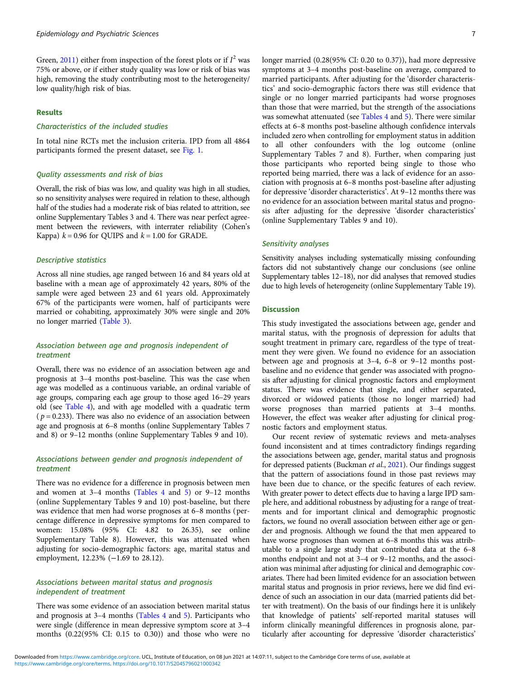Green, [2011](#page-11-0)) either from inspection of the forest plots or if  $I^2$  was 75% or above, or if either study quality was low or risk of bias was high, removing the study contributing most to the heterogeneity/ low quality/high risk of bias.

#### Results

# Characteristics of the included studies

In total nine RCTs met the inclusion criteria. IPD from all 4864 participants formed the present dataset, see [Fig. 1](#page-7-0).

# Quality assessments and risk of bias

Overall, the risk of bias was low, and quality was high in all studies, so no sensitivity analyses were required in relation to these, although half of the studies had a moderate risk of bias related to attrition, see online Supplementary Tables 3 and 4. There was near perfect agreement between the reviewers, with interrater reliability (Cohen's Kappa)  $k = 0.96$  for QUIPS and  $k = 1.00$  for GRADE.

# Descriptive statistics

Across all nine studies, age ranged between 16 and 84 years old at baseline with a mean age of approximately 42 years, 80% of the sample were aged between 23 and 61 years old. Approximately 67% of the participants were women, half of participants were married or cohabiting, approximately 30% were single and 20% no longer married ([Table 3](#page-5-0)).

# Association between age and prognosis independent of treatment

Overall, there was no evidence of an association between age and prognosis at 3–4 months post-baseline. This was the case when age was modelled as a continuous variable, an ordinal variable of age groups, comparing each age group to those aged 16–29 years old (see [Table 4](#page-8-0)), and with age modelled with a quadratic term ( $p = 0.233$ ). There was also no evidence of an association between age and prognosis at 6–8 months (online Supplementary Tables 7 and 8) or 9–12 months (online Supplementary Tables 9 and 10).

# Associations between gender and prognosis independent of treatment

There was no evidence for a difference in prognosis between men and women at 3–4 months [\(Tables 4](#page-8-0) and [5](#page-9-0)) or 9–12 months (online Supplementary Tables 9 and 10) post-baseline, but there was evidence that men had worse prognoses at 6–8 months (percentage difference in depressive symptoms for men compared to women: 15.08% (95% CI: 4.82 to 26.35), see online Supplementary Table 8). However, this was attenuated when adjusting for socio-demographic factors: age, marital status and employment, 12.23% (−1.69 to 28.12).

# Associations between marital status and prognosis independent of treatment

There was some evidence of an association between marital status and prognosis at 3–4 months [\(Tables 4](#page-8-0) and [5](#page-9-0)). Participants who were single (difference in mean depressive symptom score at 3–4 months (0.22(95% CI: 0.15 to 0.30)) and those who were no longer married (0.28(95% CI: 0.20 to 0.37)), had more depressive symptoms at 3–4 months post-baseline on average, compared to married participants. After adjusting for the 'disorder characteristics' and socio-demographic factors there was still evidence that single or no longer married participants had worse prognoses than those that were married, but the strength of the associations was somewhat attenuated (see [Tables 4](#page-8-0) and [5](#page-9-0)). There were similar effects at 6–8 months post-baseline although confidence intervals included zero when controlling for employment status in addition to all other confounders with the log outcome (online Supplementary Tables 7 and 8). Further, when comparing just those participants who reported being single to those who reported being married, there was a lack of evidence for an association with prognosis at 6–8 months post-baseline after adjusting for depressive 'disorder characteristics'. At 9–12 months there was no evidence for an association between marital status and prognosis after adjusting for the depressive 'disorder characteristics' (online Supplementary Tables 9 and 10).

#### Sensitivity analyses

Sensitivity analyses including systematically missing confounding factors did not substantively change our conclusions (see online Supplementary tables 12–18), nor did analyses that removed studies due to high levels of heterogeneity (online Supplementary Table 19).

#### **Discussion**

This study investigated the associations between age, gender and marital status, with the prognosis of depression for adults that sought treatment in primary care, regardless of the type of treatment they were given. We found no evidence for an association between age and prognosis at 3–4, 6–8 or 9–12 months postbaseline and no evidence that gender was associated with prognosis after adjusting for clinical prognostic factors and employment status. There was evidence that single, and either separated, divorced or widowed patients (those no longer married) had worse prognoses than married patients at 3–4 months. However, the effect was weaker after adjusting for clinical prognostic factors and employment status.

Our recent review of systematic reviews and meta-analyses found inconsistent and at times contradictory findings regarding the associations between age, gender, marital status and prognosis for depressed patients (Buckman et al., [2021\)](#page-11-0). Our findings suggest that the pattern of associations found in those past reviews may have been due to chance, or the specific features of each review. With greater power to detect effects due to having a large IPD sample here, and additional robustness by adjusting for a range of treatments and for important clinical and demographic prognostic factors, we found no overall association between either age or gender and prognosis. Although we found the that men appeared to have worse prognoses than women at 6–8 months this was attributable to a single large study that contributed data at the 6–8 months endpoint and not at 3–4 or 9–12 months, and the association was minimal after adjusting for clinical and demographic covariates. There had been limited evidence for an association between marital status and prognosis in prior reviews, here we did find evidence of such an association in our data (married patients did better with treatment). On the basis of our findings here it is unlikely that knowledge of patients' self-reported marital statuses will inform clinically meaningful differences in prognosis alone, particularly after accounting for depressive 'disorder characteristics'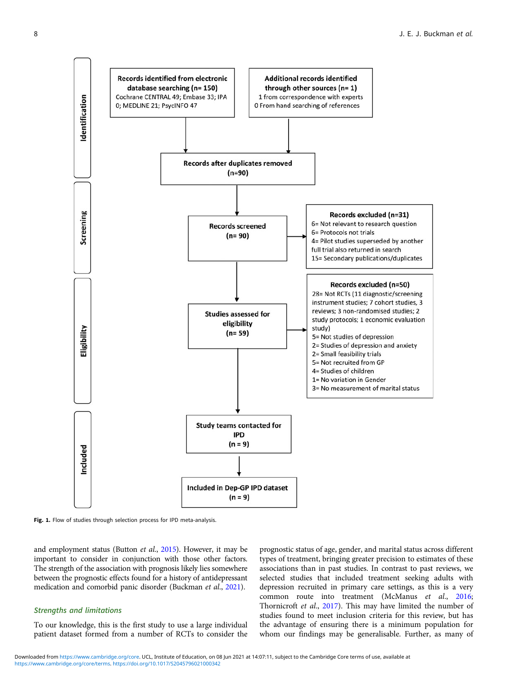<span id="page-7-0"></span>

Fig. 1. Flow of studies through selection process for IPD meta-analysis.

and employment status (Button et al., [2015\)](#page-11-0). However, it may be important to consider in conjunction with those other factors. The strength of the association with prognosis likely lies somewhere between the prognostic effects found for a history of antidepressant medication and comorbid panic disorder (Buckman et al., [2021](#page-11-0)).

# Strengths and limitations

To our knowledge, this is the first study to use a large individual patient dataset formed from a number of RCTs to consider the

prognostic status of age, gender, and marital status across different types of treatment, bringing greater precision to estimates of these associations than in past studies. In contrast to past reviews, we selected studies that included treatment seeking adults with depression recruited in primary care settings, as this is a very common route into treatment (McManus et al., [2016;](#page-12-0) Thornicroft et al., [2017\)](#page-12-0). This may have limited the number of studies found to meet inclusion criteria for this review, but has the advantage of ensuring there is a minimum population for whom our findings may be generalisable. Further, as many of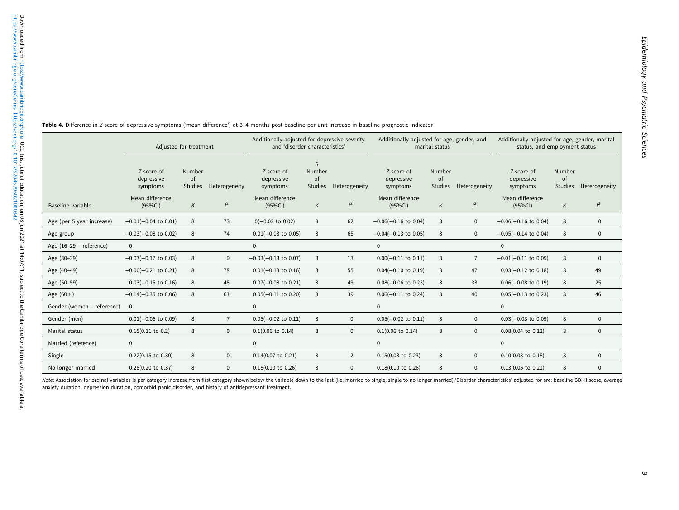|                            | Adjusted for treatment               |                         |                | Additionally adjusted for depressive severity<br>and 'disorder characteristics' |                                     |                | Additionally adjusted for age, gender, and<br>marital status |                                |                | Additionally adjusted for age, gender, marital<br>status, and employment status |                         |               |  |
|----------------------------|--------------------------------------|-------------------------|----------------|---------------------------------------------------------------------------------|-------------------------------------|----------------|--------------------------------------------------------------|--------------------------------|----------------|---------------------------------------------------------------------------------|-------------------------|---------------|--|
|                            | Z-score of<br>depressive<br>symptoms | Number<br>of<br>Studies | Heterogeneity  | Z-score of<br>depressive<br>symptoms                                            | S<br>Number<br>of<br><b>Studies</b> | Heterogeneity  | Z-score of<br>depressive<br>symptoms                         | Number<br>of<br><b>Studies</b> | Heterogeneity  | Z-score of<br>depressive<br>symptoms                                            | Number<br>of<br>Studies | Heterogeneity |  |
| Baseline variable          | Mean difference<br>$(95\%CI)$        | Κ                       | $l^2$          | Mean difference<br>(95%CI)                                                      | K                                   | $l^2$          | Mean difference<br>(95%CI)                                   | K                              | $l^2$          | Mean difference<br>(95%CI)                                                      | $\kappa$                | $l^2$         |  |
| Age (per 5 year increase)  | $-0.01(-0.04$ to 0.01)               | 8                       | 73             | $0(-0.02 \text{ to } 0.02)$                                                     | 8                                   | 62             | $-0.06(-0.16$ to 0.04)                                       | 8                              | $\mathbf{0}$   | $-0.06(-0.16$ to 0.04)                                                          | 8                       | $\mathbf{0}$  |  |
| Age group                  | $-0.03(-0.08 \text{ to } 0.02)$      | 8                       | 74             | $0.01(-0.03$ to 0.05)                                                           | 8                                   | 65             | $-0.04(-0.13$ to 0.05)                                       | 8                              | $\mathbf 0$    | $-0.05(-0.14$ to 0.04)                                                          | 8                       | $\mathbf 0$   |  |
| Age (16-29 - reference)    | $\mathbf 0$                          |                         |                | $\mathbf 0$                                                                     |                                     |                | 0                                                            |                                |                | $\mathbf 0$                                                                     |                         |               |  |
| Age (30-39)                | $-0.07(-0.17$ to 0.03)               | 8                       | 0              | $-0.03(-0.13$ to 0.07)                                                          | 8                                   | 13             | $0.00(-0.11$ to $0.11)$                                      | 8                              | $\overline{7}$ | $-0.01(-0.11$ to 0.09)                                                          | 8                       | $\mathbf 0$   |  |
| Age (40-49)                | $-0.00(-0.21$ to 0.21)               | 8                       | 78             | $0.01(-0.13)$ to 0.16)                                                          | 8                                   | 55             | $0.04(-0.10)$ to $0.19$                                      | 8                              | 47             | $0.03(-0.12 \text{ to } 0.18)$                                                  | 8                       | 49            |  |
| Age (50-59)                | $0.03(-0.15$ to $0.16)$              | 8                       | 45             | $0.07(-0.08 \text{ to } 0.21)$                                                  | 8                                   | 49             | $0.08(-0.06$ to 0.23)                                        | 8                              | 33             | $0.06(-0.08 \text{ to } 0.19)$                                                  | 8                       | 25            |  |
| Age $(60 + )$              | $-0.14(-0.35$ to 0.06)               | 8                       | 63             | $0.05(-0.11$ to 0.20)                                                           | 8                                   | 39             | $0.06(-0.11$ to 0.24)                                        | 8                              | 40             | $0.05(-0.13$ to 0.23)                                                           | 8                       | 46            |  |
| Gender (women - reference) | $\overline{0}$                       |                         |                | $\Omega$                                                                        |                                     |                | $\mathbf{0}$                                                 |                                |                | $\mathbf{0}$                                                                    |                         |               |  |
| Gender (men)               | $0.01(-0.06 \text{ to } 0.09)$       | 8                       | $\overline{7}$ | $0.05(-0.02 \text{ to } 0.11)$                                                  | 8                                   | $\mathbf{0}$   | $0.05(-0.02 \text{ to } 0.11)$                               | 8                              | $\mathbf{0}$   | $0.03(-0.03$ to 0.09)                                                           | 8                       | $\mathbf 0$   |  |
| Marital status             | $0.15(0.11$ to 0.2)                  | 8                       | $\mathbf{0}$   | $0.1(0.06 \text{ to } 0.14)$                                                    | 8                                   | $\mathbf{0}$   | $0.1(0.06 \text{ to } 0.14)$                                 | 8                              | $\mathbf{0}$   | $0.08(0.04 \text{ to } 0.12)$                                                   | 8                       | $\mathbf{0}$  |  |
| Married (reference)        | $\mathbf{0}$                         |                         |                | $\mathbf{0}$                                                                    |                                     |                | 0                                                            |                                |                | $\mathbf{0}$                                                                    |                         |               |  |
| Single                     | $0.22(0.15$ to $0.30)$               | 8                       | $\mathbf{0}$   | $0.14(0.07)$ to $0.21)$                                                         | 8                                   | $\overline{2}$ | $0.15(0.08 \text{ to } 0.23)$                                | 8                              | $\mathbf{0}$   | $0.10(0.03$ to $0.18)$                                                          | 8                       | $\mathbf 0$   |  |
| No longer married          | 0.28(0.20 to 0.37)                   | 8                       | $\mathbf{0}$   | $0.18(0.10)$ to $0.26$ )                                                        | 8                                   | $\Omega$       | $0.18(0.10)$ to $0.26$ )                                     | 8                              | $\Omega$       | $0.13(0.05$ to $0.21)$                                                          | 8                       | $\mathbf{0}$  |  |

<span id="page-8-0"></span>**Table 4.** Difference in Z-score of depressive symptoms ('mean difference') at 3–4 months post-baseline per unit increase in baseline prognostic indicator

Note: Association for ordinal variables is per category increase from first category shown below the variable down to the last (i.e. married to single, single to no longer married). 'Disorder characteristics' adjusted for anxiety duration, depression duration, comorbid panic disorder, and history of antidepressant treatment.

F ÷ L ÷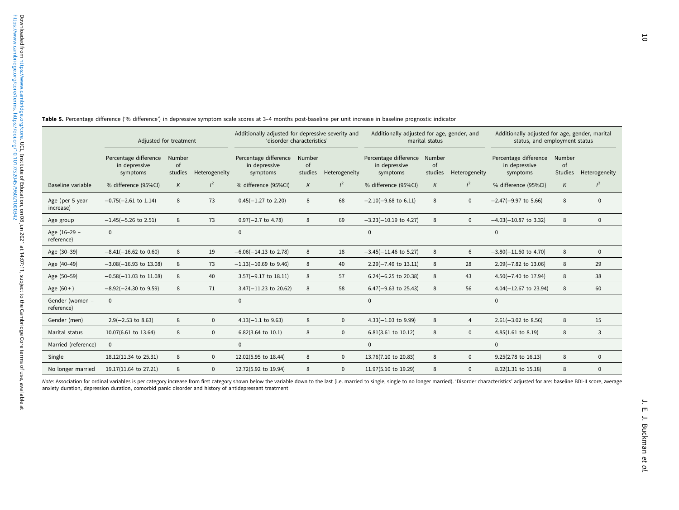|                               | Table 5. Percentage difference ('% difference') in depressive symptom scale scores at 3-4 months post-baseline per unit increase in baseline prognostic indicator |               |               |                                                                                 |               |                     |                                                           |                |                |                                                                                 |               |               |
|-------------------------------|-------------------------------------------------------------------------------------------------------------------------------------------------------------------|---------------|---------------|---------------------------------------------------------------------------------|---------------|---------------------|-----------------------------------------------------------|----------------|----------------|---------------------------------------------------------------------------------|---------------|---------------|
|                               | Adjusted for treatment                                                                                                                                            |               |               | Additionally adjusted for depressive severity and<br>'disorder characteristics' |               |                     | Additionally adjusted for age, gender, and                | marital status |                | Additionally adjusted for age, gender, marital<br>status, and employment status |               |               |
|                               | Percentage difference Number<br>in depressive<br>symptoms                                                                                                         | of<br>studies | Heterogeneity | Percentage difference Number<br>in depressive<br>symptoms                       | of<br>studies | Heterogeneity       | Percentage difference Number<br>in depressive<br>symptoms | of<br>studies  | Heterogeneity  | Percentage difference Number<br>in depressive<br>symptoms                       | of<br>Studies | Heterogeneity |
| Baseline variable             | % difference (95%CI)                                                                                                                                              | K             | $l^2$         | % difference (95%CI)                                                            | K             | $l^2$               | % difference (95%CI)                                      | $\kappa$       | $l^2$          | % difference (95%Cl)                                                            | $\kappa$      |               |
| Age (per 5 year<br>increase)  | $-0.75(-2.61$ to 1.14)                                                                                                                                            | 8             | 73            | $0.45(-1.27$ to 2.20)                                                           | 8             | 68                  | $-2.10(-9.68 \text{ to } 6.11)$                           | 8              | $\mathbf 0$    | $-2.47(-9.97)$ to 5.66)                                                         | 8             |               |
| Age group                     | $-1.45(-5.26 \text{ to } 2.51)$                                                                                                                                   | 8             | 73            | $0.97(-2.7$ to 4.78)                                                            | 8             | 69                  | $-3.23(-10.19$ to 4.27)                                   | 8              | $\mathbf 0$    | $-4.03(-10.87$ to 3.32)                                                         | $\,8\,$       |               |
| Age (16-29 -<br>reference)    | $\mathbf{0}$                                                                                                                                                      |               |               | $\mathbf{0}$                                                                    |               |                     | $\mathbf{0}$                                              |                |                | $\mathbf{0}$                                                                    |               |               |
| Age (30-39)                   | $-8.41(-16.62 \text{ to } 0.60)$                                                                                                                                  | 8             | 19            | $-6.06(-14.13$ to 2.78)                                                         | 8             | 18                  | $-3.45(-11.46$ to 5.27)                                   | 8              | 6              | $-3.80(-11.60$ to 4.70)                                                         | $\,8\,$       |               |
| Age (40-49)                   | $-3.08(-16.93)$ to 13.08)                                                                                                                                         | 8             | 73            | $-1.13(-10.69)$ to 9.46)                                                        | $\,8\,$       | 40                  | $2.29(-7.49 \text{ to } 13.11)$                           | 8              | 28             | $2.09(-7.82 \text{ to } 13.06)$                                                 | $\,8\,$       | 29            |
| Age (50-59)                   | $-0.58(-11.03$ to 11.08)                                                                                                                                          | 8             | 40            | $3.57(-9.17 \text{ to } 18.11)$                                                 | 8             | 57                  | $6.24(-6.25$ to 20.38)                                    | 8              | 43             | $4.50(-7.40 \text{ to } 17.94)$                                                 | $\,8\,$       | 38            |
| Age $(60 + )$                 | $-8.92(-24.30$ to 9.59)                                                                                                                                           | 8             | 71            | $3.47(-11.23 \text{ to } 20.62)$                                                | 8             | 58                  | $6.47(-9.63 \text{ to } 25.43)$                           | 8              | 56             | $4.04(-12.67$ to 23.94)                                                         | $\,8\,$       | 60            |
| Gender (women -<br>reference) | $\mathbf{0}$                                                                                                                                                      |               |               | $\mathbf{0}$                                                                    |               |                     | $\mathbf{0}$                                              |                |                | $\mathbf{0}$                                                                    |               |               |
| Gender (men)                  | $2.9(-2.53$ to 8.63)                                                                                                                                              | 8             | $\mathbf 0$   | $4.13(-1.1)$ to 9.63)                                                           | $\,8\,$       | $\mathsf{O}\xspace$ | $4.33(-1.03$ to $9.99)$                                   | 8              | $\overline{4}$ | $2.61(-3.02 \text{ to } 8.56)$                                                  | $\,8\,$       | 15            |
| Marital status                | 10.07(6.61 to 13.64)                                                                                                                                              | 8             | $\mathbf 0$   | 6.82(3.64 to 10.1)                                                              | 8             | $\mathbf 0$         | 6.81(3.61 to 10.12)                                       | 8              | $\mathbf 0$    | $4.85(1.61$ to $8.19)$                                                          | $\,8\,$       |               |
| Married (reference)           | $\mathbf 0$                                                                                                                                                       |               |               | $\mathbf 0$                                                                     |               |                     | $\mathsf 0$                                               |                |                | $\mathbf 0$                                                                     |               |               |
| Single                        | 18.12(11.34 to 25.31)                                                                                                                                             | 8             | $\mathbf 0$   | 12.02(5.95 to 18.44)                                                            | $\,8\,$       | $\mathsf 0$         | 13.76(7.10 to 20.83)                                      | 8              | $\mathbf 0$    | 9.25(2.78 to 16.13)                                                             | $\,8\,$       |               |
| No longer married             | 19.17(11.64 to 27.21)                                                                                                                                             | 8             | $\mathbf{0}$  | 12.72(5.92 to 19.94)                                                            | 8             | $\mathbf{0}$        | 11.97(5.10 to 19.29)                                      | 8              | $\mathbf{0}$   | 8.02(1.31 to 15.18)                                                             | $\,8\,$       |               |

Table 5.Percentage difference ('% difference') in depressive symptom scale scores at <sup>3</sup>–<sup>4</sup> months post-baseline per unit increase in baseline prognostic indicator

<span id="page-9-0"></span>Downloaded from https://www.cambridge.<br>https://www.cambridge.org/core/terms. htt wailable at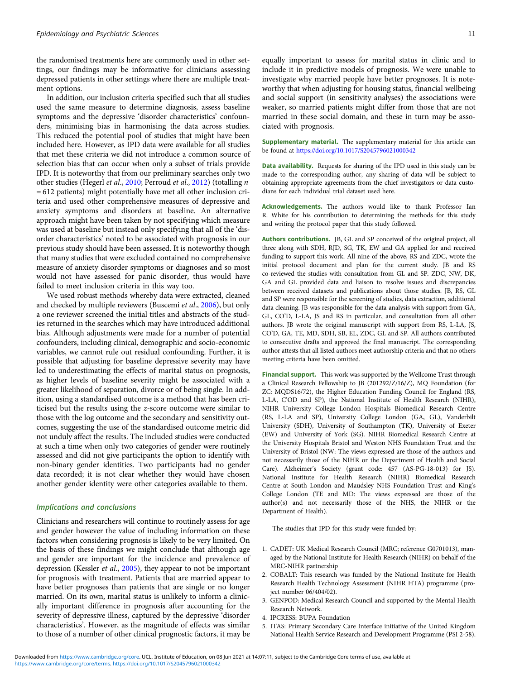the randomised treatments here are commonly used in other settings, our findings may be informative for clinicians assessing depressed patients in other settings where there are multiple treatment options.

In addition, our inclusion criteria specified such that all studies used the same measure to determine diagnosis, assess baseline symptoms and the depressive 'disorder characteristics' confounders, minimising bias in harmonising the data across studies. This reduced the potential pool of studies that might have been included here. However, as IPD data were available for all studies that met these criteria we did not introduce a common source of selection bias that can occur when only a subset of trials provide IPD. It is noteworthy that from our preliminary searches only two other studies (Hegerl et al., [2010;](#page-11-0) Perroud et al., [2012](#page-12-0)) (totalling n = 612 patients) might potentially have met all other inclusion criteria and used other comprehensive measures of depressive and anxiety symptoms and disorders at baseline. An alternative approach might have been taken by not specifying which measure was used at baseline but instead only specifying that all of the 'disorder characteristics' noted to be associated with prognosis in our previous study should have been assessed. It is noteworthy though that many studies that were excluded contained no comprehensive measure of anxiety disorder symptoms or diagnoses and so most would not have assessed for panic disorder, thus would have failed to meet inclusion criteria in this way too.

We used robust methods whereby data were extracted, cleaned and checked by multiple reviewers (Buscemi et al., [2006\)](#page-11-0), but only a one reviewer screened the initial titles and abstracts of the studies returned in the searches which may have introduced additional bias. Although adjustments were made for a number of potential confounders, including clinical, demographic and socio-economic variables, we cannot rule out residual confounding. Further, it is possible that adjusting for baseline depressive severity may have led to underestimating the effects of marital status on prognosis, as higher levels of baseline severity might be associated with a greater likelihood of separation, divorce or of being single. In addition, using a standardised outcome is a method that has been criticised but the results using the z-score outcome were similar to those with the log outcome and the secondary and sensitivity outcomes, suggesting the use of the standardised outcome metric did not unduly affect the results. The included studies were conducted at such a time when only two categories of gender were routinely assessed and did not give participants the option to identify with non-binary gender identities. Two participants had no gender data recorded; it is not clear whether they would have chosen another gender identity were other categories available to them.

# Implications and conclusions

Clinicians and researchers will continue to routinely assess for age and gender however the value of including information on these factors when considering prognosis is likely to be very limited. On the basis of these findings we might conclude that although age and gender are important for the incidence and prevalence of depression (Kessler et al., [2005](#page-11-0)), they appear to not be important for prognosis with treatment. Patients that are married appear to have better prognoses than patients that are single or no longer married. On its own, marital status is unlikely to inform a clinically important difference in prognosis after accounting for the severity of depressive illness, captured by the depressive 'disorder characteristics'. However, as the magnitude of effects was similar to those of a number of other clinical prognostic factors, it may be

equally important to assess for marital status in clinic and to include it in predictive models of prognosis. We were unable to investigate why married people have better prognoses. It is noteworthy that when adjusting for housing status, financial wellbeing and social support (in sensitivity analyses) the associations were weaker, so married patients might differ from those that are not married in these social domain, and these in turn may be associated with prognosis.

Supplementary material. The supplementary material for this article can be found at <https://doi.org/10.1017/S2045796021000342>

Data availability. Requests for sharing of the IPD used in this study can be made to the corresponding author, any sharing of data will be subject to obtaining appropriate agreements from the chief investigators or data custodians for each individual trial dataset used here.

Acknowledgements. The authors would like to thank Professor Ian R. White for his contribution to determining the methods for this study and writing the protocol paper that this study followed.

Authors contributions. JB, GL and SP conceived of the original project, all three along with SDH, RJD, SG, TK, EW and GA applied for and received funding to support this work. All nine of the above, RS and ZDC, wrote the initial protocol document and plan for the current study. JB and RS co-reviewed the studies with consultation from GL and SP. ZDC, NW, DK, GA and GL provided data and liaison to resolve issues and discrepancies between received datasets and publications about those studies. JB, RS, GL and SP were responsible for the screening of studies, data extraction, additional data cleaning. JB was responsible for the data analysis with support from GA, GL, CO'D, L-LA, JS and RS in particular, and consultation from all other authors. JB wrote the original manuscript with support from RS, L-LA, JS, CO'D, GA, TE, MD, SDH, SB, EL, ZDC, GL and SP. All authors contributed to consecutive drafts and approved the final manuscript. The corresponding author attests that all listed authors meet authorship criteria and that no others meeting criteria have been omitted.

Financial support. This work was supported by the Wellcome Trust through a Clinical Research Fellowship to JB (201292/Z/16/Z), MQ Foundation (for ZC: MQDS16/72), the Higher Education Funding Council for England (RS, L-LA, C'OD and SP), the National Institute of Health Research (NIHR), NIHR University College London Hospitals Biomedical Research Centre (RS, L-LA and SP), University College London (GA, GL), Vanderbilt University (SDH), University of Southampton (TK), University of Exeter (EW) and University of York (SG). NIHR Biomedical Research Centre at the University Hospitals Bristol and Weston NHS Foundation Trust and the University of Bristol (NW: The views expressed are those of the authors and not necessarily those of the NIHR or the Department of Health and Social Care). Alzheimer's Society (grant code: 457 (AS-PG-18-013) for JS). National Institute for Health Research (NIHR) Biomedical Research Centre at South London and Maudsley NHS Foundation Trust and King's College London (TE and MD: The views expressed are those of the author(s) and not necessarily those of the NHS, the NIHR or the Department of Health).

The studies that IPD for this study were funded by:

- 1. CADET: UK Medical Research Council (MRC; reference G0701013), managed by the National Institute for Health Research (NIHR) on behalf of the MRC-NIHR partnership
- 2. COBALT: This research was funded by the National Institute for Health Research Health Technology Assessment (NIHR HTA) programme (project number 06/404/02).
- 3. GENPOD: Medical Research Council and supported by the Mental Health Research Network.
- 4. IPCRESS: BUPA Foundation
- 5. ITAS: Primary Secondary Care Interface initiative of the United Kingdom National Health Service Research and Development Programme (PSI 2-58).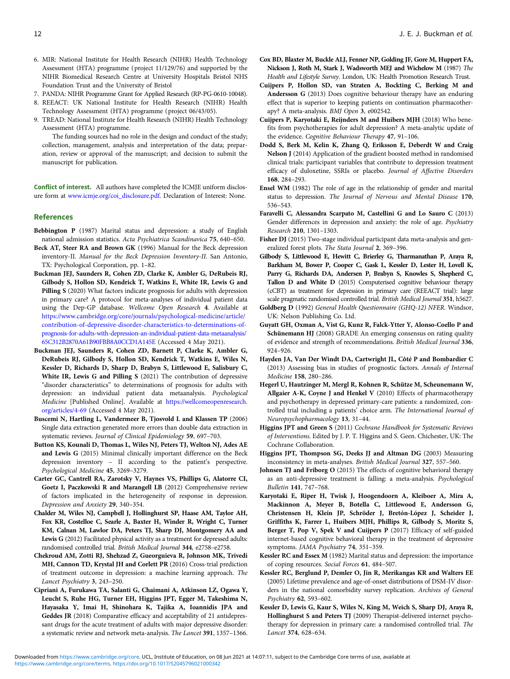- <span id="page-11-0"></span>6. MIR: National Institute for Health Research (NIHR) Health Technology Assessment (HTA) programme (project 11/129/76) and supported by the NIHR Biomedical Research Centre at University Hospitals Bristol NHS Foundation Trust and the University of Bristol
- 7. PANDA: NIHR Programme Grant for Applied Research (RP-PG-0610-10048).
- 8. REEACT: UK National Institute for Health Research (NIHR) Health Technology Assessment (HTA) programme (project 06/43/05).
- 9. TREAD: National Institute for Health Research (NIHR) Health Technology Assessment (HTA) programme.

The funding sources had no role in the design and conduct of the study; collection, management, analysis and interpretation of the data; preparation, review or approval of the manuscript; and decision to submit the manuscript for publication.

Conflict of interest. All authors have completed the ICMJE uniform disclosure form at [www.icmje.org/coi\\_disclosure.pdf.](https://www.icmje.org/coi_disclosure.pdf) Declaration of Interest: None.

#### References

- Bebbington P (1987) Marital status and depression: a study of English national admission statistics. Acta Psychiatrica Scandinavica 75, 640–650.
- Beck AT, Steer RA and Brown GK (1996) Manual for the Beck depression inventory-II. Manual for the Beck Depression Inventory-II. San Antonio, TX: Psychological Corporation, pp. 1–82.
- Buckman JEJ, Saunders R, Cohen ZD, Clarke K, Ambler G, DeRubeis RJ, Gilbody S, Hollon SD, Kendrick T, Watkins E, White IR, Lewis G and Pilling S (2020) What factors indicate prognosis for adults with depression in primary care? A protocol for meta-analyses of individual patient data using the Dep-GP database. Wellcome Open Research 4. Available at [https://www.cambridge.org/core/journals/psychological-medicine/article/](https://www.cambridge.org/core/journals/psychological-medicine/article/contribution-of-depressive-disorder-characteristics-to-determinations-of-prognosis-for-adults-with-depression-an-individual-patient-data-metaanalysis/65C312B2870A61B90FBB8A0CCD1A145E) [contribution-of-depressive-disorder-characteristics-to-determinations-of](https://www.cambridge.org/core/journals/psychological-medicine/article/contribution-of-depressive-disorder-characteristics-to-determinations-of-prognosis-for-adults-with-depression-an-individual-patient-data-metaanalysis/65C312B2870A61B90FBB8A0CCD1A145E)[prognosis-for-adults-with-depression-an-individual-patient-data-metaanalysis/](https://www.cambridge.org/core/journals/psychological-medicine/article/contribution-of-depressive-disorder-characteristics-to-determinations-of-prognosis-for-adults-with-depression-an-individual-patient-data-metaanalysis/65C312B2870A61B90FBB8A0CCD1A145E) [65C312B2870A61B90FBB8A0CCD1A145E](https://www.cambridge.org/core/journals/psychological-medicine/article/contribution-of-depressive-disorder-characteristics-to-determinations-of-prognosis-for-adults-with-depression-an-individual-patient-data-metaanalysis/65C312B2870A61B90FBB8A0CCD1A145E) (Accessed 4 May 2021).
- Buckman JEJ, Saunders R, Cohen ZD, Barnett P, Clarke K, Ambler G, DeRubeis RJ, Gilbody S, Hollon SD, Kendrick T, Watkins E, Wiles N, Kessler D, Richards D, Sharp D, Brabyn S, Littlewood E, Salisbury C, White IR, Lewis G and Pilling S (2021) The contribution of depressive "disorder characteristics" to determinations of prognosis for adults with depression: an individual patient data metaanalysis. Psychological Medicine [Published Online]. Available at [https://wellcomeopenresearch.](https://wellcomeopenresearch.org/articles/4-69) [org/articles/4-69](https://wellcomeopenresearch.org/articles/4-69) (Accessed 4 May 2021).
- Buscemi N, Hartling L, Vandermeer B, Tjosvold L and Klassen TP (2006) Single data extraction generated more errors than double data extraction in systematic reviews. Journal of Clinical Epidemiology 59, 697–703.
- Button KS, Kounali D, Thomas L, Wiles NJ, Peters TJ, Welton NJ, Ades AE and Lewis G (2015) Minimal clinically important difference on the Beck depression inventory – II according to the patient's perspective. Psychological Medicine 45, 3269–3279.
- Carter GC, Cantrell RA, Zarotsky V, Haynes VS, Phillips G, Alatorre CI, Goetz I, Paczkowski R and Marangell LB (2012) Comprehensive review of factors implicated in the heterogeneity of response in depression. Depression and Anxiety 29, 340–354.
- Chalder M, Wiles NJ, Campbell J, Hollinghurst SP, Haase AM, Taylor AH, Fox KR, Costelloe C, Searle A, Baxter H, Winder R, Wright C, Turner KM, Calnan M, Lawlor DA, Peters TJ, Sharp DJ, Montgomery AA and Lewis G (2012) Facilitated physical activity as a treatment for depressed adults: randomised controlled trial. British Medical Journal 344, e2758–e2758.
- Chekroud AM, Zotti RJ, Shehzad Z, Gueorguieva R, Johnson MK, Trivedi MH, Cannon TD, Krystal JH and Corlett PR (2016) Cross-trial prediction of treatment outcome in depression: a machine learning approach. The Lancet Psychiatry 3, 243–250.
- Cipriani A, Furukawa TA, Salanti G, Chaimani A, Atkinson LZ, Ogawa Y, Leucht S, Ruhe HG, Turner EH, Higgins JPT, Egger M, Takeshima N, Hayasaka Y, Imai H, Shinohara K, Tajika A, Ioannidis JPA and Geddes JR (2018) Comparative efficacy and acceptability of 21 antidepressant drugs for the acute treatment of adults with major depressive disorder: a systematic review and network meta-analysis. The Lancet 391, 1357–1366.
- Cox BD, Blaxter M, Buckle ALJ, Fenner NP, Golding JF, Gore M, Huppert FA, Nickson J, Roth M, Stark J, Wadsworth MEJ and Wichelow M (1987) The Health and Lifestyle Survey. London, UK: Health Promotion Research Trust.
- Cuijpers P, Hollon SD, van Straten A, Bockting C, Berking M and Andersson G (2013) Does cognitive behaviour therapy have an enduring effect that is superior to keeping patients on continuation pharmacotherapy? A meta-analysis. BMJ Open 3, e002542.
- Cuijpers P, Karyotaki E, Reijnders M and Huibers MJH (2018) Who benefits from psychotherapies for adult depression? A meta-analytic update of the evidence. Cognitive Behaviour Therapy 47, 91–106.
- Dodd S, Berk M, Kelin K, Zhang Q, Eriksson E, Deberdt W and Craig Nelson J (2014) Application of the gradient boosted method in randomised clinical trials: participant variables that contribute to depression treatment efficacy of duloxetine, SSRIs or placebo. Journal of Affective Disorders 168, 284–293.
- Ensel WM (1982) The role of age in the relationship of gender and marital status to depression. The Journal of Nervous and Mental Disease 170, 536–543.
- Faravelli C, Alessandra Scarpato M, Castellini G and Lo Sauro C (2013) Gender differences in depression and anxiety: the role of age. Psychiatry Research 210, 1301–1303.
- Fisher DJ (2015) Two-stage individual participant data meta-analysis and generalized forest plots. The Stata Journal 2, 369–396.
- Gilbody S, Littlewood E, Hewitt C, Brierley G, Tharmanathan P, Araya R, Barkham M, Bower P, Cooper C, Gask L, Kessler D, Lester H, Lovell K, Parry G, Richards DA, Andersen P, Brabyn S, Knowles S, Shepherd C, Tallon D and White D (2015) Computerised cognitive behaviour therapy (cCBT) as treatment for depression in primary care (REEACT trial): large scale pragmatic randomised controlled trial. British Medical Journal 351, h5627.
- Goldberg D (1992) General Health Questionnaire (GHQ-12) NFER. Windsor, UK: Nelson Publishing Co. Ltd.
- Guyatt GH, Oxman A, Vist G, Kunz R, Falck-Ytter Y, Alonso-Coello P and Schünemann HJ (2008) GRADE An emerging consensus on rating quality of evidence and strength of recommendations. British Medical Journal 336, 924–926.
- Hayden JA, Van Der Windt DA, Cartwright JL, Côté P and Bombardier C (2013) Assessing bias in studies of prognostic factors. Annals of Internal Medicine 158, 280–286.
- Hegerl U, Hautzinger M, Mergl R, Kohnen R, Schütze M, Scheunemann W, Allgaier A-K, Coyne J and Henkel V (2010) Effects of pharmacotherapy and psychotherapy in depressed primary-care patients: a randomized, controlled trial including a patients' choice arm. The International Journal of Neuropsychopharmacology 13, 31–44.
- Higgins JPT and Green S (2011) Cochrane Handbook for Systematic Reviews of Interventions. Edited by J. P. T. Higgins and S. Geen. Chichester, UK: The Cochrane Collaboration.
- Higgins JPT, Thompson SG, Deeks JJ and Altman DG (2003) Measuring inconsistency in meta-analyses. British Medical Journal 327, 557–560.
- Johnsen TJ and Friborg O (2015) The effects of cognitive behavioral therapy as an anti-depressive treatment is falling: a meta-analysis. Psychological Bulletin 141, 747–768.
- Karyotaki E, Riper H, Twisk J, Hoogendoorn A, Kleiboer A, Mira A, Mackinnon A, Meyer B, Botella C, Littlewood E, Andersson G, Christensen H, Klein JP, Schröder J, Bretón-López J, Scheider J, Griffiths K, Farrer L, Huibers MJH, Phillips R, Gilbody S, Moritz S, Berger T, Pop V, Spek V and Cuijpers P (2017) Efficacy of self-guided internet-based cognitive behavioral therapy in the treatment of depressive symptoms. JAMA Psychiatry 74, 351–359.
- Kessler RC and Essex M (1982) Marital status and depression: the importance of coping resources. Social Forces 61, 484–507.
- Kessler RC, Berglund P, Demler O, Jin R, Merikangas KR and Walters EE (2005) Lifetime prevalence and age-of-onset distributions of DSM-IV disorders in the national comorbidity survey replication. Archives of General Psychiatry 62, 593–602.
- Kessler D, Lewis G, Kaur S, Wiles N, King M, Weich S, Sharp DJ, Araya R, Hollinghurst S and Peters TJ (2009) Therapist-delivered internet psychotherapy for depression in primary care: a randomised controlled trial. The Lancet 374, 628–634.